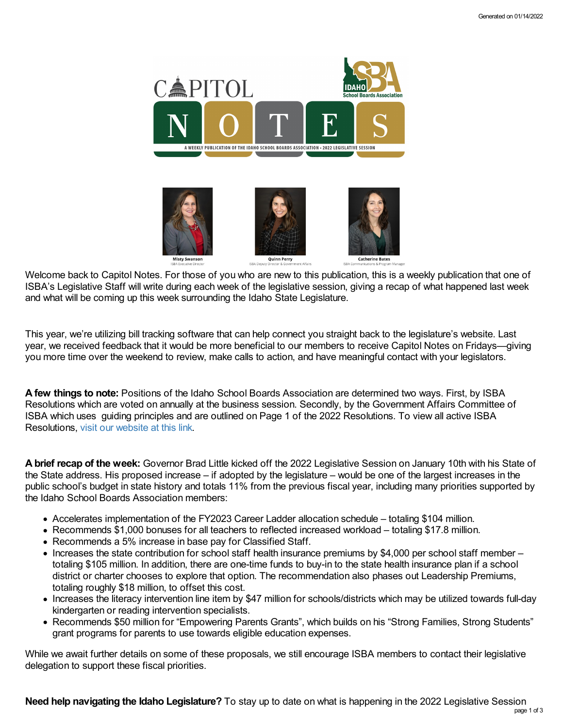

Welcome back to Capitol Notes. For those of you who are new to this publication, this is a weekly publication that one of ISBA's Legislative Staff will write during each week of the legislative session, giving a recap of what happened last week and what will be coming up this week surrounding the Idaho State Legislature.

This year, we're utilizing bill tracking software that can help connect you straight back to the legislature's website. Last year, we received feedback that it would be more beneficial to our members to receive Capitol Notes on Fridays—giving you more time over the weekend to review, make calls to action, and have meaningful contact with your legislators.

**A few things to note:** Positions of the Idaho School Boards Association are determined two ways. First, by ISBA Resolutions which are voted on annually at the business session. Secondly, by the Government Affairs Committee of ISBA which uses guiding principles and are outlined on Page 1 of the 2022 Resolutions. To view all active ISBA Resolutions, visit our [website](https://www.idsba.org/member-services/advocacy/resolutions/) at this link.

**A brief recap of the week:** Governor Brad Little kicked off the 2022 Legislative Session on January 10th with his State of the State address. His proposed increase – if adopted by the legislature – would be one of the largest increases in the public school's budget in state history and totals 11% from the previous fiscal year, including many priorities supported by the Idaho School Boards Association members:

- Accelerates implementation of the FY2023 Career Ladder allocation schedule totaling \$104 million.
- Recommends \$1,000 bonuses for all teachers to reflected increased workload totaling \$17.8 million.
- Recommends a 5% increase in base pay for Classified Staff.
- Increases the state contribution for school staff health insurance premiums by \$4,000 per school staff member totaling \$105 million. In addition, there are one-time funds to buy-in to the state health insurance plan if a school district or charter chooses to explore that option. The recommendation also phases out Leadership Premiums, totaling roughly \$18 million, to offset this cost.
- Increases the literacy intervention line item by \$47 million for schools/districts which may be utilized towards full-day kindergarten or reading intervention specialists.
- Recommends \$50 million for "Empowering Parents Grants", which builds on his "Strong Families, Strong Students" grant programs for parents to use towards eligible education expenses.

While we await further details on some of these proposals, we still encourage ISBA members to contact their legislative delegation to support these fiscal priorities.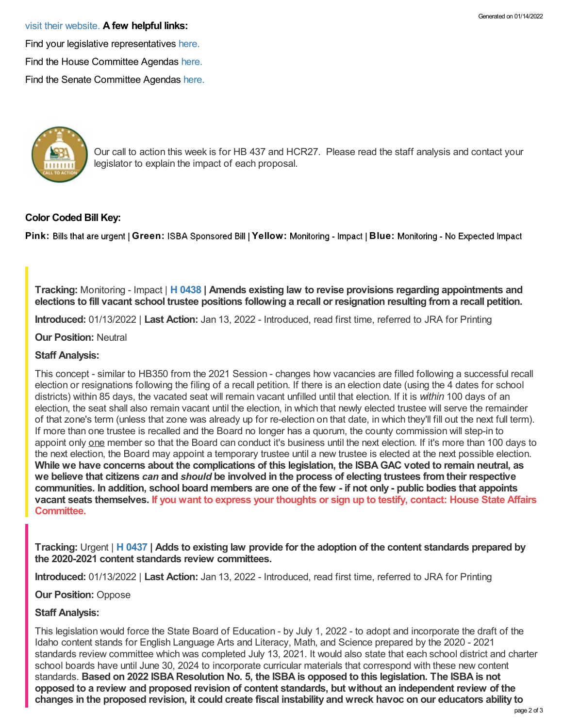#### visit their [website.](https://legislature.idaho.gov/legislators/whosmylegislator/) **A few helpful links:**

Find your legislative representatives [here.](https://legislature.idaho.gov/legislators/whosmylegislator/)

Find the House Committee Agendas [here.](https://legislature.idaho.gov/sessioninfo/agenda/hagenda/)

Find the Senate Committee Agendas [here.](https://legislature.idaho.gov/sessioninfo/agenda/sagenda/)



Our call to action this week is for HB 437 and HCR27. Please read the staff analysis and contact your legislator to explain the impact of each proposal.

# **Color Coded Bill Key:**

Pink: Bills that are urgent | Green: ISBA Sponsored Bill | Yellow: Monitoring - Impact | Blue: Monitoring - No Expected Impact

**Tracking:** Monitoring - Impact | **H [0438](https://legislature.idaho.gov/sessioninfo/2022/legislation/H0438/) | Amends existing law to revise provisions regarding appointments and** elections to fill vacant school trustee positions following a recall or resignation resulting from a recall petition.

**Introduced:** 01/13/2022 | **Last Action:** Jan 13, 2022 - Introduced, read first time, referred to JRA for Printing

#### **Our Position:** Neutral

## **Staff Analysis:**

This concept - similar to HB350 from the 2021 Session - changes how vacancies are filled following a successful recall election or resignations following the filing of a recall petition. If there is an election date (using the 4 dates for school districts) within 85 days, the vacated seat will remain vacant unfilled until that election. If it is *within* 100 days of an election, the seat shall also remain vacant until the election, in which that newly elected trustee will serve the remainder of that zone's term (unless that zone was already up for re-election on that date, in which they'll fill out the next full term). If more than one trustee is recalled and the Board no longer has a quorum, the county commission will step-in to appoint only one member so that the Board can conduct it's business until the next election. If it's more than 100 days to the next election, the Board may appoint a temporary trustee until a new trustee is elected at the next possible election. While we have concerns about the complications of this legislation, the ISBA GAC voted to remain neutral, as we believe that citizens can and should be involved in the process of electing trustees from their respective communities. In addition, school board members are one of the few - if not only - public bodies that appoints vacant seats [themselves.](https://legislature.idaho.gov/sessioninfo/2022/standingcommittees/HSTA/) If you want to express your thoughts or sign up to testify, contact: House State Affairs **Committee.**

Tracking: Urgent | H [0437](https://legislature.idaho.gov/sessioninfo/2022/legislation/H0437/) | Adds to existing law provide for the adoption of the content standards prepared by **the 2020-2021 content standards review committees.**

**Introduced:** 01/13/2022 | **Last Action:** Jan 13, 2022 - Introduced, read first time, referred to JRA for Printing

**Our Position:** Oppose

## **Staff Analysis:**

This legislation would force the State Board of Education - by July 1, 2022 - to adopt and incorporate the draft of the Idaho content stands for English Language Arts and Literacy, Math, and Science prepared by the 2020 - 2021 standards review committee which was completed July 13, 2021. It would also state that each school district and charter school boards have until June 30, 2024 to incorporate curricular materials that correspond with these new content standards. Based on 2022 ISBA Resolution No. 5, the ISBA is opposed to this legislation. The ISBA is not **opposed to a review and proposed revision of content standards, but without an independent review of the** changes in the proposed revision, it could create fiscal instability and wreck havoc on our educators ability to